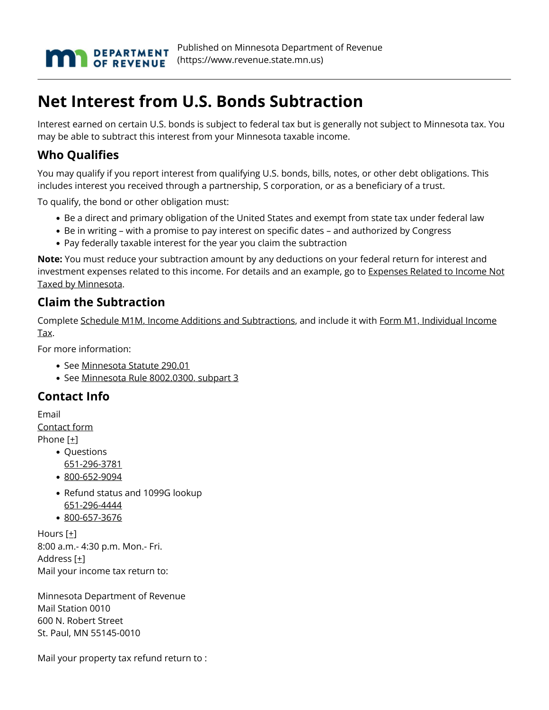

## **Net Interest from U.S. Bonds Subtraction**

Interest earned on certain U.S. bonds is subject to federal tax but is generally not subject to Minnesota tax. You may be able to subtract this interest from your Minnesota taxable income.

## **Who Qualifies**

You may qualify if you report interest from qualifying U.S. bonds, bills, notes, or other debt obligations. This includes interest you received through a partnership, S corporation, or as a beneficiary of a trust.

To qualify, the bond or other obligation must:

- Be a direct and primary obligation of the United States and exempt from state tax under federal law
- Be in writing with a promise to pay interest on specific dates and authorized by Congress
- Pay federally taxable interest for the year you claim the subtraction

**Note:** You must reduce your subtraction amount by any deductions on your federal return for interest and investment expenses related to this income. For details and an example, go to [Expenses Related to Income Not](https://www.revenue.state.mn.us/expenses-nontaxed-income) [Taxed by Minnesota](https://www.revenue.state.mn.us/expenses-nontaxed-income).

## **Claim the Subtraction**

Complete [Schedule M1M, Income Additions and Subtractions](https://www.revenue.state.mn.us/sites/default/files/2021-12/m1m_21.pdf), and include it with [Form M1, Individual Income](https://www.revenue.state.mn.us/sites/default/files/2021-12/m1_21_0.pdf) [Tax](https://www.revenue.state.mn.us/sites/default/files/2021-12/m1_21_0.pdf).

For more information:

- See [Minnesota Statute 290.01](https://www.revisor.mn.gov/statutes/?id=290.01)
- See [Minnesota Rule 8002.0300, subpart 3](https://www.revisor.mn.gov/rules/?id=8002.0300#rule.8002.0300.3)

## **Contact Info**

Email [Contact form](https://www.revenue.state.mn.us/mndor-pp/6526?type=html#) Phone [\[+\]](https://www.revenue.state.mn.us/mndor-pp/6526?type=html#)

- Questions [651-296-3781](tel:651-296-3781)
- [800-652-9094](tel:800-652-9094)
- Refund status and 1099G lookup [651-296-4444](tel:651-296-4444)
- [800-657-3676](tel:800-657-3676)

Hours [\[+\]](https://www.revenue.state.mn.us/mndor-pp/6526?type=html#) 8:00 a.m.- 4:30 p.m. Mon.- Fri. Address [\[+\]](https://www.revenue.state.mn.us/mndor-pp/6526?type=html#) Mail your income tax return to:

Minnesota Department of Revenue Mail Station 0010 600 N. Robert Street St. Paul, MN 55145-0010

Mail your property tax refund return to :